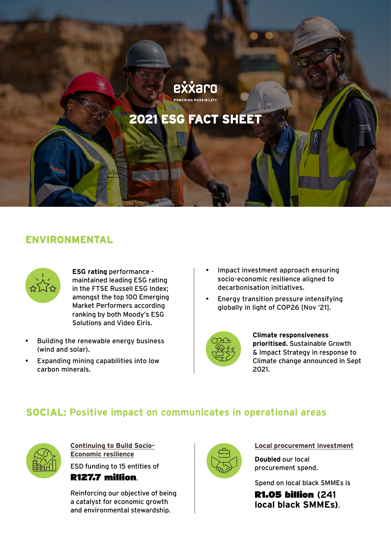# exxaro

# **2021 ESG FACT SHEET**

# **ENVIRONMENTAL**



**ESG rating** performance maintained leading ESG rating in the FTSE Russell ESG Index; amongst the top 100 Emerging Market Performers according ranking by both Moody's ESG Solutions and Video Eiris.

- Building the renewable energy business (wind and solar).
- Expanding mining capabilities into low carbon minerals.
- Impact investment approach ensuring socio-economic resilience aligned to decarbonisation initiatives.
- Energy transition pressure intensifying globally in light of COP26 [Nov '21].



**Climate responsiveness prioritised.** Sustainable Growth & Impact Strategy in response to Climate change announced in Sept 2021.

## **SOCIAL: Positive impact on communicates in operational areas**



**Continuing to Build Socio-Economic resilience** ESD funding to 15 entities of

R127.7 million.

Reinforcing our objective of being a catalyst for economic growth and environmental stewardship.



#### **Local procurement investment**

**Doubled** our local procurement spend.

Spend on local black SMMEs is

R1.05 billion **(241 local black SMMEs)**.